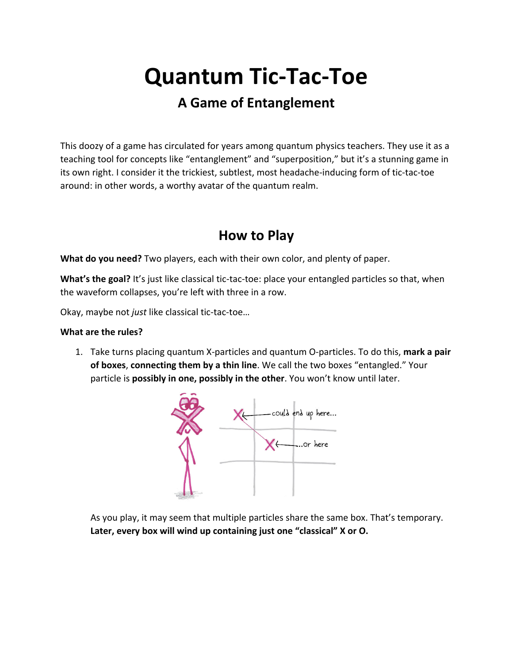# **Quantum Tic‐Tac‐Toe**

#### **A Game of Entanglement**

This doozy of a game has circulated for years among quantum physics teachers. They use it as a teaching tool for concepts like "entanglement" and "superposition," but it's a stunning game in its own right. I consider it the trickiest, subtlest, most headache‐inducing form of tic‐tac‐toe around: in other words, a worthy avatar of the quantum realm.

## **How to Play**

**What do you need?** Two players, each with their own color, and plenty of paper.

**What's the goal?** It's just like classical tic‐tac‐toe: place your entangled particles so that, when the waveform collapses, you're left with three in a row.

Okay, maybe not *just* like classical tic‐tac‐toe…

#### **What are the rules?**

1. Take turns placing quantum X‐particles and quantum O‐particles. To do this, **mark a pair of boxes**, **connecting them by a thin line**. We call the two boxes "entangled." Your particle is **possibly in one, possibly in the other**. You won't know until later.



As you play, it may seem that multiple particles share the same box. That's temporary. **Later, every box will wind up containing just one "classical" X or O.**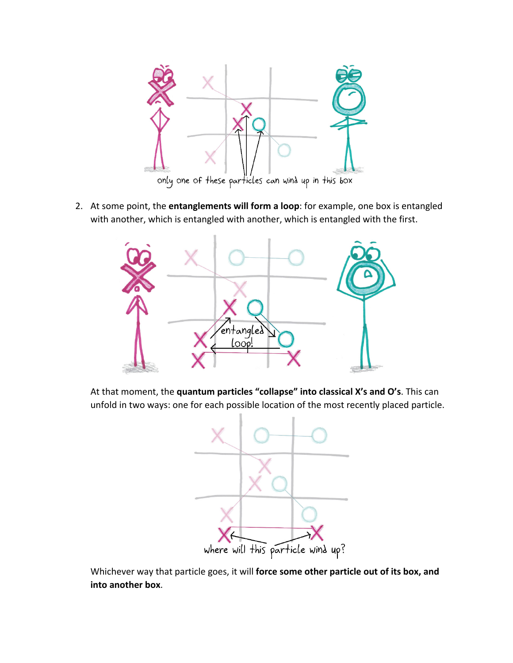

2. At some point, the **entanglements will form a loop**: for example, one box is entangled with another, which is entangled with another, which is entangled with the first.



At that moment, the **quantum particles "collapse" into classical X's and O's**. This can unfold in two ways: one for each possible location of the most recently placed particle.



Whichever way that particle goes, it will **force some other particle out of its box, and into another box**.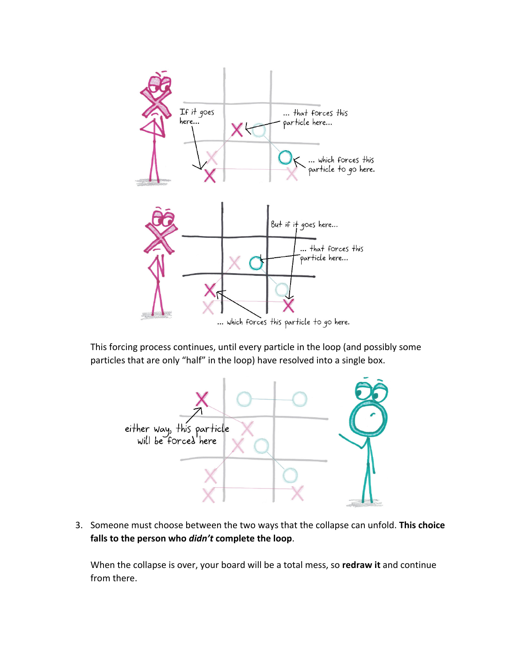

This forcing process continues, until every particle in the loop (and possibly some particles that are only "half" in the loop) have resolved into a single box.



3. Someone must choose between the two ways that the collapse can unfold. **This choice falls to the person who** *didn't* **complete the loop**.

When the collapse is over, your board will be a total mess, so **redraw it** and continue from there.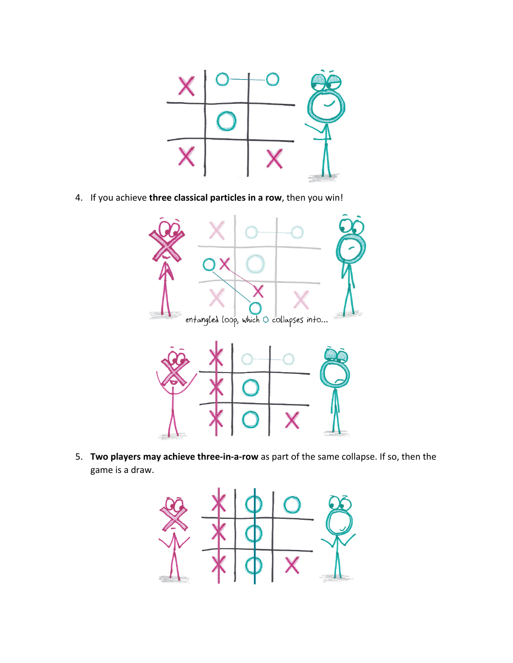

4. If you achieve **three classical particles in a row**, then you win!



5. **Two players may achieve three‐in‐a‐row** as part of the same collapse. If so, then the game is a draw.